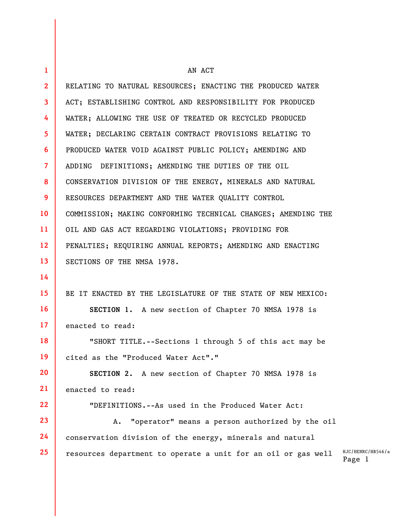| $\mathbf{1}$    | AN ACT                                                                                       |  |
|-----------------|----------------------------------------------------------------------------------------------|--|
| 2 <sup>1</sup>  | RELATING TO NATURAL RESOURCES; ENACTING THE PRODUCED WATER                                   |  |
| 3 <sup>1</sup>  | ACT; ESTABLISHING CONTROL AND RESPONSIBILITY FOR PRODUCED                                    |  |
| 4               | WATER; ALLOWING THE USE OF TREATED OR RECYCLED PRODUCED                                      |  |
| 5 <sup>1</sup>  | WATER; DECLARING CERTAIN CONTRACT PROVISIONS RELATING TO                                     |  |
| 6               | PRODUCED WATER VOID AGAINST PUBLIC POLICY; AMENDING AND                                      |  |
| $\overline{7}$  | ADDING DEFINITIONS; AMENDING THE DUTIES OF THE OIL                                           |  |
| 8               | CONSERVATION DIVISION OF THE ENERGY, MINERALS AND NATURAL                                    |  |
| 9               | RESOURCES DEPARTMENT AND THE WATER QUALITY CONTROL                                           |  |
| 10              | COMMISSION; MAKING CONFORMING TECHNICAL CHANGES; AMENDING THE                                |  |
| 11              | OIL AND GAS ACT REGARDING VIOLATIONS; PROVIDING FOR                                          |  |
| 12 <sup>2</sup> | PENALTIES; REQUIRING ANNUAL REPORTS; AMENDING AND ENACTING                                   |  |
| 13              | SECTIONS OF THE NMSA 1978.                                                                   |  |
| 14              |                                                                                              |  |
| 15 <sub>1</sub> | BE IT ENACTED BY THE LEGISLATURE OF THE STATE OF NEW MEXICO:                                 |  |
| 16 <sup>2</sup> | SECTION 1. A new section of Chapter 70 NMSA 1978 is                                          |  |
| 17 <sup>2</sup> | enacted to read:                                                                             |  |
| 18              | "SHORT TITLE. -- Sections 1 through 5 of this act may be                                     |  |
| 19              | cited as the "Produced Water Act"."                                                          |  |
| 20              | SECTION 2. A new section of Chapter 70 NMSA 1978 is                                          |  |
| 21              | enacted to read:                                                                             |  |
| 22              | "DEFINITIONS.--As used in the Produced Water Act:                                            |  |
| 23              | "operator" means a person authorized by the oil<br>Α.                                        |  |
| 24              | conservation division of the energy, minerals and natural                                    |  |
| 25              | HJC/HENRC/HB546/a<br>resources department to operate a unit for an oil or gas well<br>Page 1 |  |
|                 |                                                                                              |  |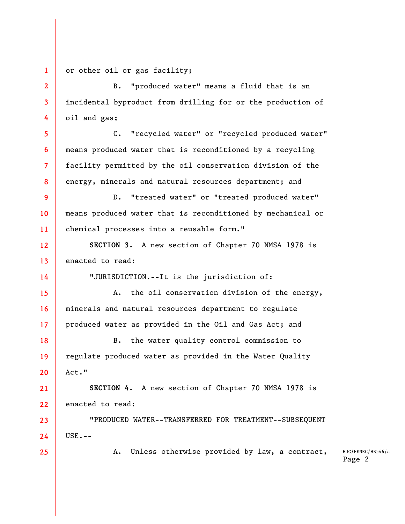**1**  or other oil or gas facility;

B. "produced water" means a fluid that is an incidental byproduct from drilling for or the production of oil and gas;

C. "recycled water" or "recycled produced water" means produced water that is reconditioned by a recycling facility permitted by the oil conservation division of the energy, minerals and natural resources department; and

**9 10 11**  D. "treated water" or "treated produced water" means produced water that is reconditioned by mechanical or chemical processes into a reusable form."

**12 13 SECTION 3.** A new section of Chapter 70 NMSA 1978 is enacted to read:

"JURISDICTION.--It is the jurisdiction of:

**15 16 17**  A. the oil conservation division of the energy, minerals and natural resources department to regulate produced water as provided in the Oil and Gas Act; and

**18 19 20**  B. the water quality control commission to regulate produced water as provided in the Water Quality Act."

**22 SECTION 4.** A new section of Chapter 70 NMSA 1978 is enacted to read:

"PRODUCED WATER--TRANSFERRED FOR TREATMENT--SUBSEQUENT USE.--

**25** 

**21** 

**23** 

**24** 

**2** 

**3** 

**4** 

**5** 

**6** 

**7** 

**8** 

**14** 

A. Unless otherwise provided by law, a contract,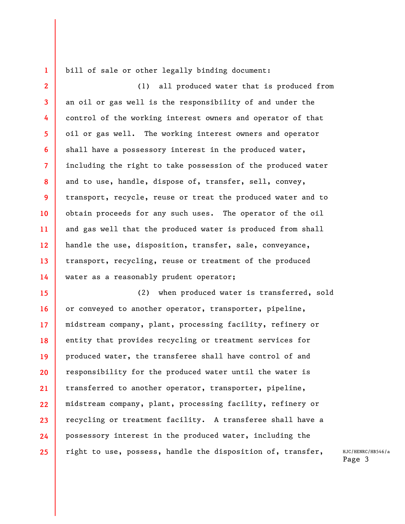bill of sale or other legally binding document:

**1** 

**2 3 4 5 6 7 8 9 10 11 12 13 14**  (1) all produced water that is produced from an oil or gas well is the responsibility of and under the control of the working interest owners and operator of that oil or gas well. The working interest owners and operator shall have a possessory interest in the produced water, including the right to take possession of the produced water and to use, handle, dispose of, transfer, sell, convey, transport, recycle, reuse or treat the produced water and to obtain proceeds for any such uses. The operator of the oil and gas well that the produced water is produced from shall handle the use, disposition, transfer, sale, conveyance, transport, recycling, reuse or treatment of the produced water as a reasonably prudent operator;

**15 16 17 18 19 20 21 22 23 24 25**  (2) when produced water is transferred, sold or conveyed to another operator, transporter, pipeline, midstream company, plant, processing facility, refinery or entity that provides recycling or treatment services for produced water, the transferee shall have control of and responsibility for the produced water until the water is transferred to another operator, transporter, pipeline, midstream company, plant, processing facility, refinery or recycling or treatment facility. A transferee shall have a possessory interest in the produced water, including the right to use, possess, handle the disposition of, transfer,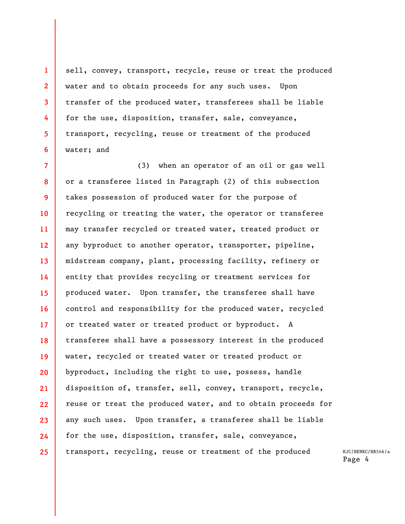sell, convey, transport, recycle, reuse or treat the produced water and to obtain proceeds for any such uses. Upon transfer of the produced water, transferees shall be liable for the use, disposition, transfer, sale, conveyance, transport, recycling, reuse or treatment of the produced water; and

**1** 

**2** 

**3** 

**4** 

**5** 

**6** 

**7 8 9 10 11 12 13 14 15 16 17 18 19 20 21 22 23 24 25**  (3) when an operator of an oil or gas well or a transferee listed in Paragraph (2) of this subsection takes possession of produced water for the purpose of recycling or treating the water, the operator or transferee may transfer recycled or treated water, treated product or any byproduct to another operator, transporter, pipeline, midstream company, plant, processing facility, refinery or entity that provides recycling or treatment services for produced water. Upon transfer, the transferee shall have control and responsibility for the produced water, recycled or treated water or treated product or byproduct. A transferee shall have a possessory interest in the produced water, recycled or treated water or treated product or byproduct, including the right to use, possess, handle disposition of, transfer, sell, convey, transport, recycle, reuse or treat the produced water, and to obtain proceeds for any such uses. Upon transfer, a transferee shall be liable for the use, disposition, transfer, sale, conveyance, transport, recycling, reuse or treatment of the produced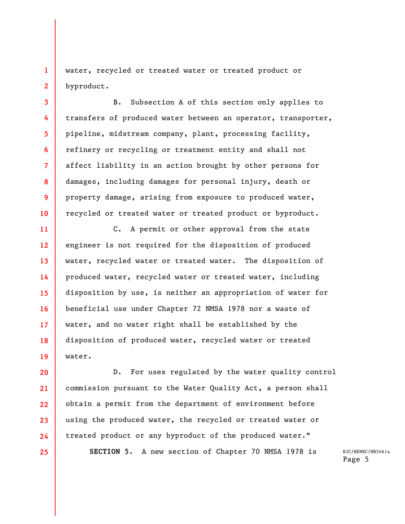water, recycled or treated water or treated product or byproduct.

**1** 

**2** 

**3** 

**4** 

**5** 

**6** 

**7** 

**8** 

**9** 

**10** 

**25** 

B. Subsection A of this section only applies to transfers of produced water between an operator, transporter, pipeline, midstream company, plant, processing facility, refinery or recycling or treatment entity and shall not affect liability in an action brought by other persons for damages, including damages for personal injury, death or property damage, arising from exposure to produced water, recycled or treated water or treated product or byproduct.

**11 12 13 14 15 16 17 18 19**  C. A permit or other approval from the state engineer is not required for the disposition of produced water, recycled water or treated water. The disposition of produced water, recycled water or treated water, including disposition by use, is neither an appropriation of water for beneficial use under Chapter 72 NMSA 1978 nor a waste of water, and no water right shall be established by the disposition of produced water, recycled water or treated water.

**20 21 22 23 24**  D. For uses regulated by the water quality control commission pursuant to the Water Quality Act, a person shall obtain a permit from the department of environment before using the produced water, the recycled or treated water or treated product or any byproduct of the produced water."

**SECTION 5.** A new section of Chapter 70 NMSA 1978 is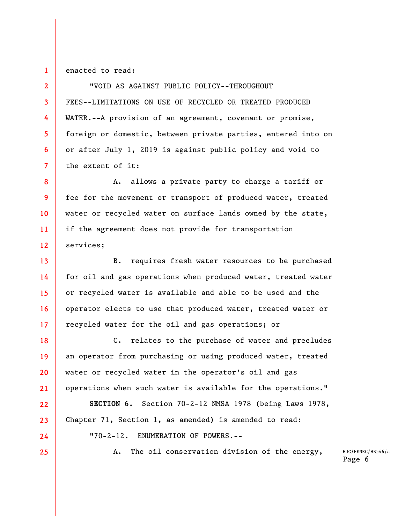**1** 

**2** 

**3** 

**4** 

**5** 

**6** 

**7** 

**8** 

**9** 

**10** 

enacted to read:

"VOID AS AGAINST PUBLIC POLICY--THROUGHOUT FEES--LIMITATIONS ON USE OF RECYCLED OR TREATED PRODUCED WATER.--A provision of an agreement, covenant or promise, foreign or domestic, between private parties, entered into on or after July 1, 2019 is against public policy and void to the extent of it:

**11 12**  A. allows a private party to charge a tariff or fee for the movement or transport of produced water, treated water or recycled water on surface lands owned by the state, if the agreement does not provide for transportation services;

**13 14 15 16 17**  B. requires fresh water resources to be purchased for oil and gas operations when produced water, treated water or recycled water is available and able to be used and the operator elects to use that produced water, treated water or recycled water for the oil and gas operations; or

C. relates to the purchase of water and precludes an operator from purchasing or using produced water, treated water or recycled water in the operator's oil and gas operations when such water is available for the operations."

**SECTION 6.** Section 70-2-12 NMSA 1978 (being Laws 1978, Chapter 71, Section 1, as amended) is amended to read:

"70-2-12. ENUMERATION OF POWERS.--

**24 25** 

**18** 

**19** 

**20** 

**21** 

**22** 

**23** 

A. The oil conservation division of the energy,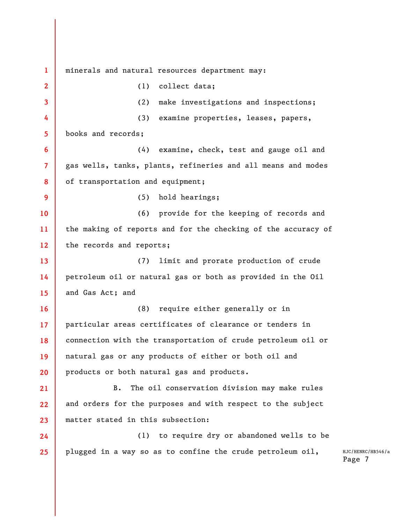**1 2 3 4 5 6 7 8 9 10 11 12 13 14 15 16 17 18 19 20 21 22 23 24 25**  minerals and natural resources department may: (1) collect data; (2) make investigations and inspections; (3) examine properties, leases, papers, books and records; (4) examine, check, test and gauge oil and gas wells, tanks, plants, refineries and all means and modes of transportation and equipment; (5) hold hearings; (6) provide for the keeping of records and the making of reports and for the checking of the accuracy of the records and reports; (7) limit and prorate production of crude petroleum oil or natural gas or both as provided in the Oil and Gas Act; and (8) require either generally or in particular areas certificates of clearance or tenders in connection with the transportation of crude petroleum oil or natural gas or any products of either or both oil and products or both natural gas and products. B. The oil conservation division may make rules and orders for the purposes and with respect to the subject matter stated in this subsection: (1) to require dry or abandoned wells to be plugged in a way so as to confine the crude petroleum oil,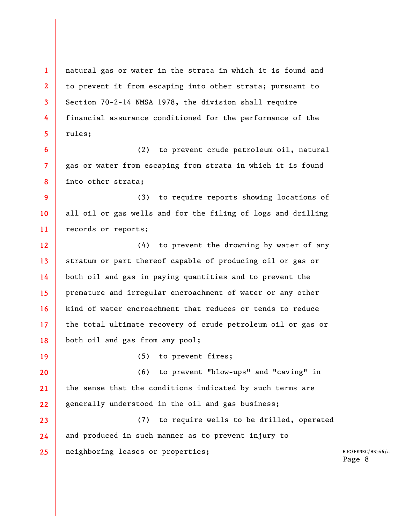**1 2 3 4 5**  natural gas or water in the strata in which it is found and to prevent it from escaping into other strata; pursuant to Section 70-2-14 NMSA 1978, the division shall require financial assurance conditioned for the performance of the rules;

**6 7 8**  (2) to prevent crude petroleum oil, natural gas or water from escaping from strata in which it is found into other strata;

**9 10 11**  (3) to require reports showing locations of all oil or gas wells and for the filing of logs and drilling records or reports;

**12 13 14 15 16 17 18**  (4) to prevent the drowning by water of any stratum or part thereof capable of producing oil or gas or both oil and gas in paying quantities and to prevent the premature and irregular encroachment of water or any other kind of water encroachment that reduces or tends to reduce the total ultimate recovery of crude petroleum oil or gas or both oil and gas from any pool;

**19** 

(5) to prevent fires;

**20 21 22**  (6) to prevent "blow-ups" and "caving" in the sense that the conditions indicated by such terms are generally understood in the oil and gas business;

**23 24 25**  (7) to require wells to be drilled, operated and produced in such manner as to prevent injury to neighboring leases or properties;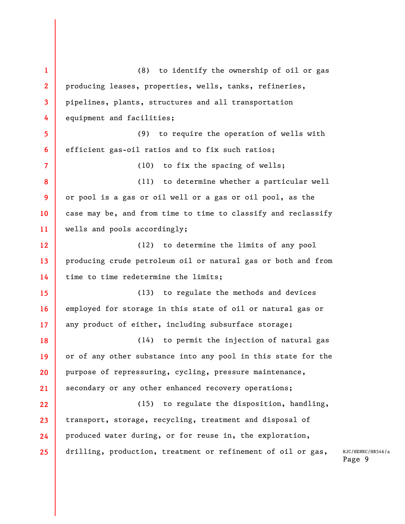**1 2 3 4 5 6 7 8 9 10 11 12 13 14 15 16 17 18 19 20 21 22 23 24 25**  (8) to identify the ownership of oil or gas producing leases, properties, wells, tanks, refineries, pipelines, plants, structures and all transportation equipment and facilities; (9) to require the operation of wells with efficient gas-oil ratios and to fix such ratios; (10) to fix the spacing of wells; (11) to determine whether a particular well or pool is a gas or oil well or a gas or oil pool, as the case may be, and from time to time to classify and reclassify wells and pools accordingly; (12) to determine the limits of any pool producing crude petroleum oil or natural gas or both and from time to time redetermine the limits; (13) to regulate the methods and devices employed for storage in this state of oil or natural gas or any product of either, including subsurface storage; (14) to permit the injection of natural gas or of any other substance into any pool in this state for the purpose of repressuring, cycling, pressure maintenance, secondary or any other enhanced recovery operations; (15) to regulate the disposition, handling, transport, storage, recycling, treatment and disposal of produced water during, or for reuse in, the exploration, drilling, production, treatment or refinement of oil or gas,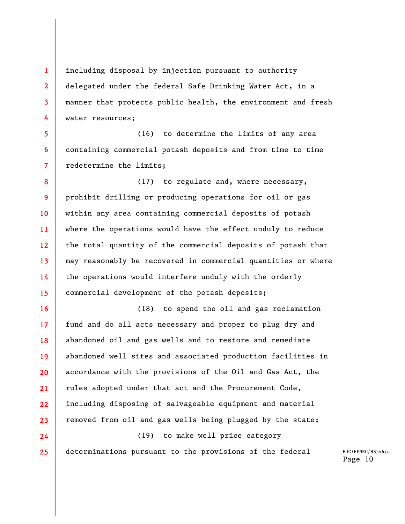**1 2 3 4**  including disposal by injection pursuant to authority delegated under the federal Safe Drinking Water Act, in a manner that protects public health, the environment and fresh water resources;

(16) to determine the limits of any area containing commercial potash deposits and from time to time redetermine the limits;

**5** 

**6** 

**7** 

**24** 

**25** 

**8 9 10 11 12 13 14 15**  (17) to regulate and, where necessary, prohibit drilling or producing operations for oil or gas within any area containing commercial deposits of potash where the operations would have the effect unduly to reduce the total quantity of the commercial deposits of potash that may reasonably be recovered in commercial quantities or where the operations would interfere unduly with the orderly commercial development of the potash deposits;

**16 17 18 19 20 21 22 23**  (18) to spend the oil and gas reclamation fund and do all acts necessary and proper to plug dry and abandoned oil and gas wells and to restore and remediate abandoned well sites and associated production facilities in accordance with the provisions of the Oil and Gas Act, the rules adopted under that act and the Procurement Code, including disposing of salvageable equipment and material removed from oil and gas wells being plugged by the state;

(19) to make well price category determinations pursuant to the provisions of the federal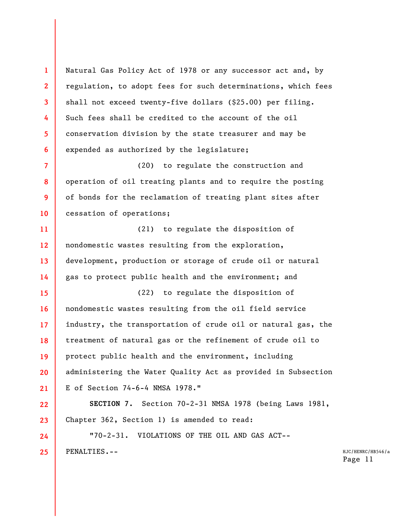**1 2 3 4 5 6 7 8 9 10 11 12 13 14 15 16 17 18 19 20 21 22 23 24**  Natural Gas Policy Act of 1978 or any successor act and, by regulation, to adopt fees for such determinations, which fees shall not exceed twenty-five dollars (\$25.00) per filing. Such fees shall be credited to the account of the oil conservation division by the state treasurer and may be expended as authorized by the legislature; (20) to regulate the construction and operation of oil treating plants and to require the posting of bonds for the reclamation of treating plant sites after cessation of operations; (21) to regulate the disposition of nondomestic wastes resulting from the exploration, development, production or storage of crude oil or natural gas to protect public health and the environment; and (22) to regulate the disposition of nondomestic wastes resulting from the oil field service industry, the transportation of crude oil or natural gas, the treatment of natural gas or the refinement of crude oil to protect public health and the environment, including administering the Water Quality Act as provided in Subsection E of Section 74-6-4 NMSA 1978." **SECTION 7.** Section 70-2-31 NMSA 1978 (being Laws 1981, Chapter 362, Section 1) is amended to read: "70-2-31. VIOLATIONS OF THE OIL AND GAS ACT--

**25** 

PENALTIES.--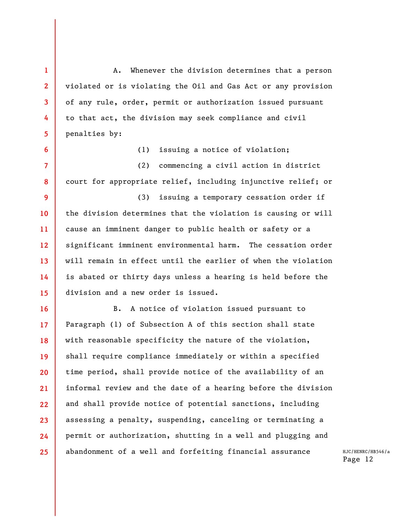A. Whenever the division determines that a person violated or is violating the Oil and Gas Act or any provision of any rule, order, permit or authorization issued pursuant to that act, the division may seek compliance and civil penalties by:

**1** 

**2** 

**3** 

**4** 

**5** 

**6** 

(1) issuing a notice of violation;

**7 8**  (2) commencing a civil action in district court for appropriate relief, including injunctive relief; or

**9 10 11 12 13 14 15**  (3) issuing a temporary cessation order if the division determines that the violation is causing or will cause an imminent danger to public health or safety or a significant imminent environmental harm. The cessation order will remain in effect until the earlier of when the violation is abated or thirty days unless a hearing is held before the division and a new order is issued.

**16 17 18 19 20 21 22 23 24 25**  B. A notice of violation issued pursuant to Paragraph (1) of Subsection A of this section shall state with reasonable specificity the nature of the violation, shall require compliance immediately or within a specified time period, shall provide notice of the availability of an informal review and the date of a hearing before the division and shall provide notice of potential sanctions, including assessing a penalty, suspending, canceling or terminating a permit or authorization, shutting in a well and plugging and abandonment of a well and forfeiting financial assurance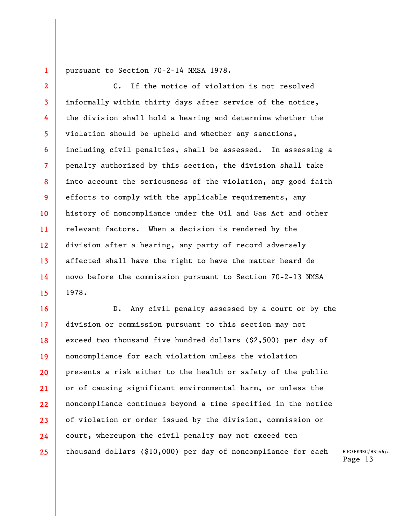**1 2** 

**5** 

**7** 

**9** 

**10** 

pursuant to Section 70-2-14 NMSA 1978.

**3 4 6 8 11 12 13 14 15**  C. If the notice of violation is not resolved informally within thirty days after service of the notice, the division shall hold a hearing and determine whether the violation should be upheld and whether any sanctions, including civil penalties, shall be assessed. In assessing a penalty authorized by this section, the division shall take into account the seriousness of the violation, any good faith efforts to comply with the applicable requirements, any history of noncompliance under the Oil and Gas Act and other relevant factors. When a decision is rendered by the division after a hearing, any party of record adversely affected shall have the right to have the matter heard de novo before the commission pursuant to Section 70-2-13 NMSA 1978.

**16 17 18 19 20 21 22 23 24 25**  D. Any civil penalty assessed by a court or by the division or commission pursuant to this section may not exceed two thousand five hundred dollars (\$2,500) per day of noncompliance for each violation unless the violation presents a risk either to the health or safety of the public or of causing significant environmental harm, or unless the noncompliance continues beyond a time specified in the notice of violation or order issued by the division, commission or court, whereupon the civil penalty may not exceed ten thousand dollars (\$10,000) per day of noncompliance for each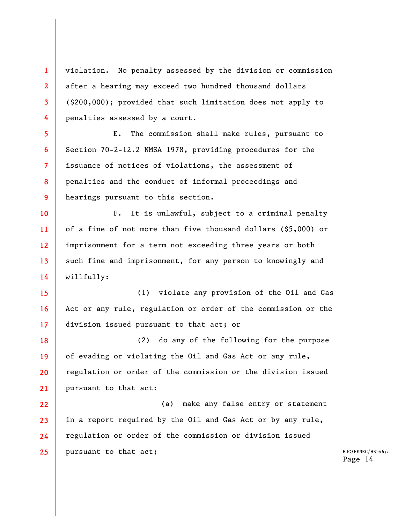**4**  violation. No penalty assessed by the division or commission after a hearing may exceed two hundred thousand dollars (\$200,000); provided that such limitation does not apply to penalties assessed by a court.

**1** 

**2** 

**3** 

**5 6 7 8 9**  E. The commission shall make rules, pursuant to Section 70-2-12.2 NMSA 1978, providing procedures for the issuance of notices of violations, the assessment of penalties and the conduct of informal proceedings and hearings pursuant to this section.

**10 11 12 13 14**  F. It is unlawful, subject to a criminal penalty of a fine of not more than five thousand dollars (\$5,000) or imprisonment for a term not exceeding three years or both such fine and imprisonment, for any person to knowingly and willfully:

**15 16 17**  (1) violate any provision of the Oil and Gas Act or any rule, regulation or order of the commission or the division issued pursuant to that act; or

**18 19 20 21**  (2) do any of the following for the purpose of evading or violating the Oil and Gas Act or any rule, regulation or order of the commission or the division issued pursuant to that act:

**22 23 24 25**  (a) make any false entry or statement in a report required by the Oil and Gas Act or by any rule, regulation or order of the commission or division issued pursuant to that act;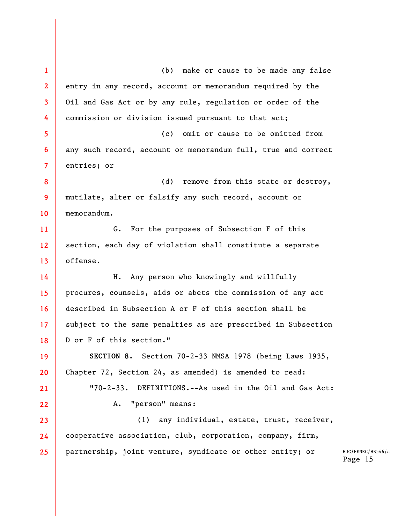**1 2 3 4 5 6 7 8 9 10 11 12 13 14 15 16 17 18 19 20 21 22 23 24 25**  (b) make or cause to be made any false entry in any record, account or memorandum required by the Oil and Gas Act or by any rule, regulation or order of the commission or division issued pursuant to that act; (c) omit or cause to be omitted from any such record, account or memorandum full, true and correct entries; or (d) remove from this state or destroy, mutilate, alter or falsify any such record, account or memorandum. G. For the purposes of Subsection F of this section, each day of violation shall constitute a separate offense. H. Any person who knowingly and willfully procures, counsels, aids or abets the commission of any act described in Subsection A or F of this section shall be subject to the same penalties as are prescribed in Subsection D or F of this section." **SECTION 8.** Section 70-2-33 NMSA 1978 (being Laws 1935, Chapter 72, Section 24, as amended) is amended to read: "70-2-33. DEFINITIONS.--As used in the Oil and Gas Act: A. "person" means: (1) any individual, estate, trust, receiver, cooperative association, club, corporation, company, firm, partnership, joint venture, syndicate or other entity; or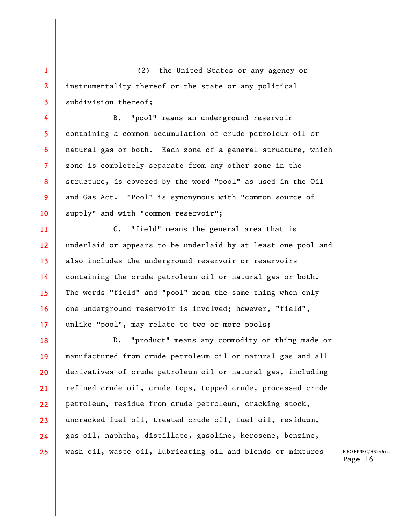**3**  (2) the United States or any agency or instrumentality thereof or the state or any political subdivision thereof;

**1** 

**2** 

**4** 

**5** 

**6** 

**7** 

**8** 

**9** 

**10** 

B. "pool" means an underground reservoir containing a common accumulation of crude petroleum oil or natural gas or both. Each zone of a general structure, which zone is completely separate from any other zone in the structure, is covered by the word "pool" as used in the Oil and Gas Act. "Pool" is synonymous with "common source of supply" and with "common reservoir";

**11 12 13 14 15 16 17**  C. "field" means the general area that is underlaid or appears to be underlaid by at least one pool and also includes the underground reservoir or reservoirs containing the crude petroleum oil or natural gas or both. The words "field" and "pool" mean the same thing when only one underground reservoir is involved; however, "field", unlike "pool", may relate to two or more pools;

**18 19 20 21 22 23 24 25**  D. "product" means any commodity or thing made or manufactured from crude petroleum oil or natural gas and all derivatives of crude petroleum oil or natural gas, including refined crude oil, crude tops, topped crude, processed crude petroleum, residue from crude petroleum, cracking stock, uncracked fuel oil, treated crude oil, fuel oil, residuum, gas oil, naphtha, distillate, gasoline, kerosene, benzine, wash oil, waste oil, lubricating oil and blends or mixtures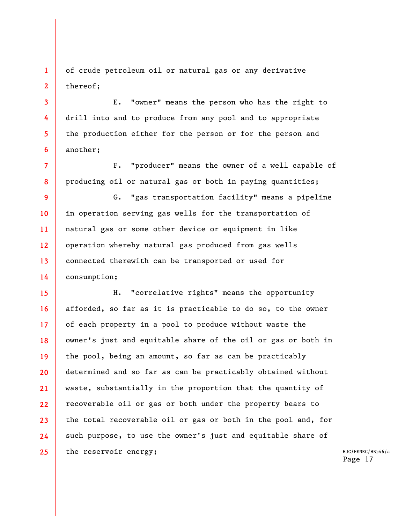of crude petroleum oil or natural gas or any derivative thereof;

**1** 

**2** 

**3** 

**4** 

**5** 

**6** 

E. "owner" means the person who has the right to drill into and to produce from any pool and to appropriate the production either for the person or for the person and another;

**7 8**  F. "producer" means the owner of a well capable of producing oil or natural gas or both in paying quantities;

**9 10 11 12 13 14**  G. "gas transportation facility" means a pipeline in operation serving gas wells for the transportation of natural gas or some other device or equipment in like operation whereby natural gas produced from gas wells connected therewith can be transported or used for consumption;

**15 16 17 18 19 20 21 22 23 24 25**  H. "correlative rights" means the opportunity afforded, so far as it is practicable to do so, to the owner of each property in a pool to produce without waste the owner's just and equitable share of the oil or gas or both in the pool, being an amount, so far as can be practicably determined and so far as can be practicably obtained without waste, substantially in the proportion that the quantity of recoverable oil or gas or both under the property bears to the total recoverable oil or gas or both in the pool and, for such purpose, to use the owner's just and equitable share of the reservoir energy;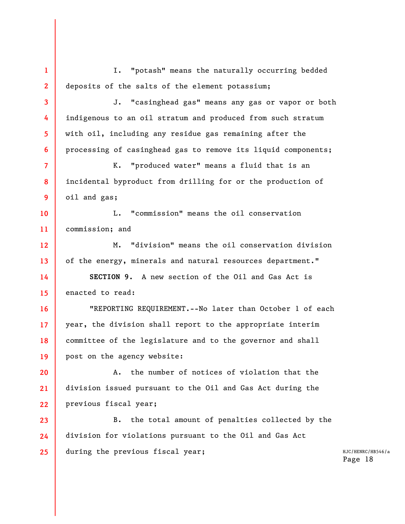**1 2 3 4 5 6 7 8 9 10 11 12 13 14 15 16 17 18 19 20 21 22 23 24 25**  I. "potash" means the naturally occurring bedded deposits of the salts of the element potassium; J. "casinghead gas" means any gas or vapor or both indigenous to an oil stratum and produced from such stratum with oil, including any residue gas remaining after the processing of casinghead gas to remove its liquid components; K. "produced water" means a fluid that is an incidental byproduct from drilling for or the production of oil and gas; L. "commission" means the oil conservation commission; and M. "division" means the oil conservation division of the energy, minerals and natural resources department." **SECTION 9.** A new section of the Oil and Gas Act is enacted to read: "REPORTING REQUIREMENT.--No later than October 1 of each year, the division shall report to the appropriate interim committee of the legislature and to the governor and shall post on the agency website: A. the number of notices of violation that the division issued pursuant to the Oil and Gas Act during the previous fiscal year; B. the total amount of penalties collected by the division for violations pursuant to the Oil and Gas Act during the previous fiscal year;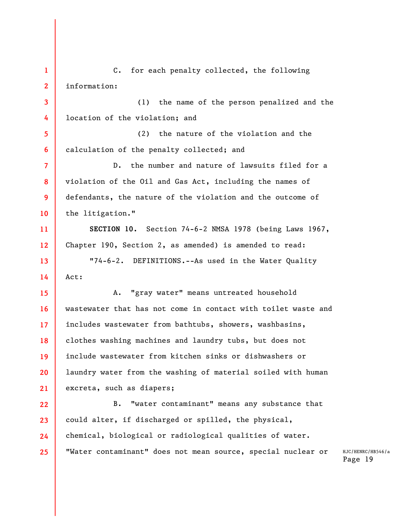**1 2 3 4 5 6 7 8 9 10 11 12 13 14 15 16 17 18 19 20 21 22 23 24 25**  C. for each penalty collected, the following information: (1) the name of the person penalized and the location of the violation; and (2) the nature of the violation and the calculation of the penalty collected; and D. the number and nature of lawsuits filed for a violation of the Oil and Gas Act, including the names of defendants, the nature of the violation and the outcome of the litigation." **SECTION 10.** Section 74-6-2 NMSA 1978 (being Laws 1967, Chapter 190, Section 2, as amended) is amended to read: "74-6-2. DEFINITIONS.--As used in the Water Quality Act: A. "gray water" means untreated household wastewater that has not come in contact with toilet waste and includes wastewater from bathtubs, showers, washbasins, clothes washing machines and laundry tubs, but does not include wastewater from kitchen sinks or dishwashers or laundry water from the washing of material soiled with human excreta, such as diapers; B. "water contaminant" means any substance that could alter, if discharged or spilled, the physical, chemical, biological or radiological qualities of water. "Water contaminant" does not mean source, special nuclear or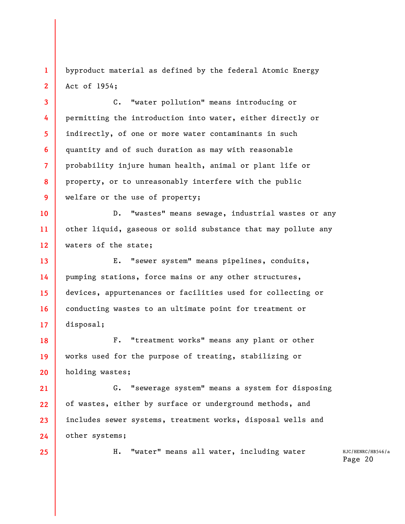**1 2**  byproduct material as defined by the federal Atomic Energy Act of 1954;

**4**  C. "water pollution" means introducing or permitting the introduction into water, either directly or indirectly, of one or more water contaminants in such quantity and of such duration as may with reasonable probability injure human health, animal or plant life or property, or to unreasonably interfere with the public welfare or the use of property;

**10 11 12**  D. "wastes" means sewage, industrial wastes or any other liquid, gaseous or solid substance that may pollute any waters of the state;

**13 14 15 16 17**  E. "sewer system" means pipelines, conduits, pumping stations, force mains or any other structures, devices, appurtenances or facilities used for collecting or conducting wastes to an ultimate point for treatment or disposal;

**18 19 20**  F. "treatment works" means any plant or other works used for the purpose of treating, stabilizing or holding wastes;

**21 22 23 24**  G. "sewerage system" means a system for disposing of wastes, either by surface or underground methods, and includes sewer systems, treatment works, disposal wells and other systems;

**25** 

**3** 

**5** 

**6** 

**7** 

**8** 

**9** 

H. "water" means all water, including water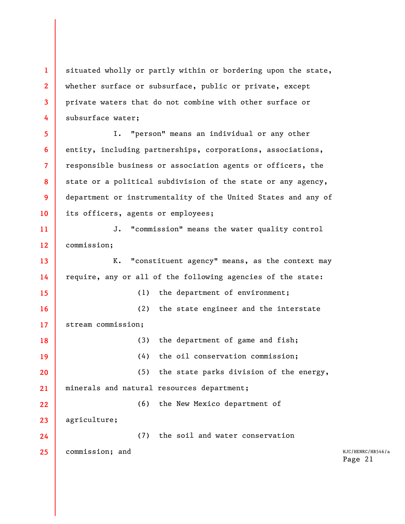**1 2 3 4**  situated wholly or partly within or bordering upon the state, whether surface or subsurface, public or private, except private waters that do not combine with other surface or subsurface water;

**5 6 7 8 9 10**  I. "person" means an individual or any other entity, including partnerships, corporations, associations, responsible business or association agents or officers, the state or a political subdivision of the state or any agency, department or instrumentality of the United States and any of its officers, agents or employees;

**11 12**  J. "commission" means the water quality control commission;

**13 14**  K. "constituent agency" means, as the context may require, any or all of the following agencies of the state:

**15 16 17 18 19 20 21 22 23 24 25**  (1) the department of environment; (2) the state engineer and the interstate stream commission; (3) the department of game and fish; (4) the oil conservation commission; (5) the state parks division of the energy, minerals and natural resources department; (6) the New Mexico department of agriculture; (7) the soil and water conservation commission; and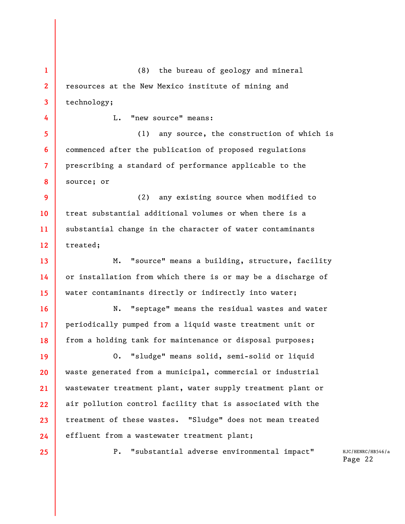**1 2 3 4 5 6 7 8 9 10 11 12 13 14 15 16 17 18 19 20 21 22 23 24 25**  (8) the bureau of geology and mineral resources at the New Mexico institute of mining and technology; L. "new source" means: (1) any source, the construction of which is commenced after the publication of proposed regulations prescribing a standard of performance applicable to the source; or (2) any existing source when modified to treat substantial additional volumes or when there is a substantial change in the character of water contaminants treated; M. "source" means a building, structure, facility or installation from which there is or may be a discharge of water contaminants directly or indirectly into water; N. "septage" means the residual wastes and water periodically pumped from a liquid waste treatment unit or from a holding tank for maintenance or disposal purposes; O. "sludge" means solid, semi-solid or liquid waste generated from a municipal, commercial or industrial wastewater treatment plant, water supply treatment plant or air pollution control facility that is associated with the treatment of these wastes. "Sludge" does not mean treated effluent from a wastewater treatment plant; P. "substantial adverse environmental impact"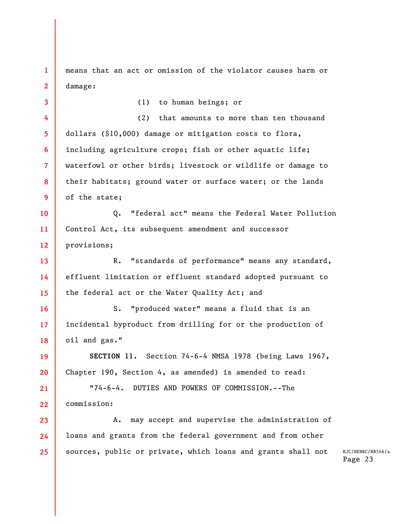**1 2**  means that an act or omission of the violator causes harm or damage:

**3 4 5 6 7 8 9 10 11 12 13 14 15 16 17 18 19 20 21 22 23 24 25**  (1) to human beings; or (2) that amounts to more than ten thousand dollars (\$10,000) damage or mitigation costs to flora, including agriculture crops; fish or other aquatic life; waterfowl or other birds; livestock or wildlife or damage to their habitats; ground water or surface water; or the lands of the state; Q. "federal act" means the Federal Water Pollution Control Act, its subsequent amendment and successor provisions; R. "standards of performance" means any standard, effluent limitation or effluent standard adopted pursuant to the federal act or the Water Quality Act; and S. "produced water" means a fluid that is an incidental byproduct from drilling for or the production of oil and gas." **SECTION 11.** Section 74-6-4 NMSA 1978 (being Laws 1967, Chapter 190, Section 4, as amended) is amended to read: "74-6-4. DUTIES AND POWERS OF COMMISSION.--The commission: A. may accept and supervise the administration of loans and grants from the federal government and from other sources, public or private, which loans and grants shall not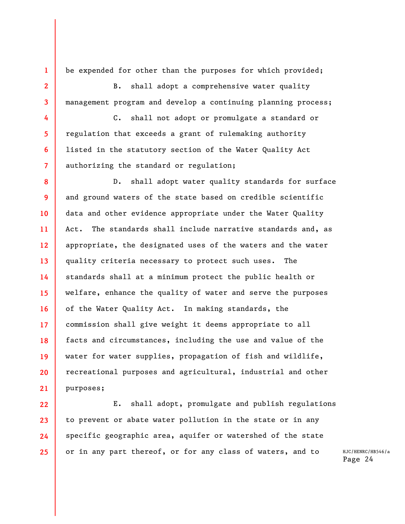be expended for other than the purposes for which provided;

**1** 

**2** 

**3** 

**4** 

**5** 

**6** 

**7** 

B. shall adopt a comprehensive water quality management program and develop a continuing planning process;

C. shall not adopt or promulgate a standard or regulation that exceeds a grant of rulemaking authority listed in the statutory section of the Water Quality Act authorizing the standard or regulation;

**8 9 10 11 12 13 14 15 16 17 18 19 20 21**  D. shall adopt water quality standards for surface and ground waters of the state based on credible scientific data and other evidence appropriate under the Water Quality Act. The standards shall include narrative standards and, as appropriate, the designated uses of the waters and the water quality criteria necessary to protect such uses. The standards shall at a minimum protect the public health or welfare, enhance the quality of water and serve the purposes of the Water Quality Act. In making standards, the commission shall give weight it deems appropriate to all facts and circumstances, including the use and value of the water for water supplies, propagation of fish and wildlife, recreational purposes and agricultural, industrial and other purposes;

**22 23 24 25**  E. shall adopt, promulgate and publish regulations to prevent or abate water pollution in the state or in any specific geographic area, aquifer or watershed of the state or in any part thereof, or for any class of waters, and to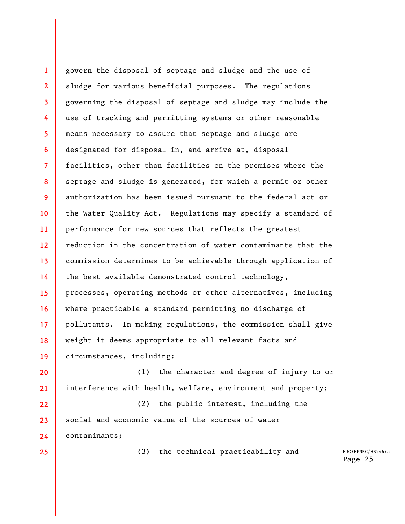**1 2 3 4 5 6 7 8 9 10 11 12 13 14 15 16 17 18 19 20**  govern the disposal of septage and sludge and the use of sludge for various beneficial purposes. The regulations governing the disposal of septage and sludge may include the use of tracking and permitting systems or other reasonable means necessary to assure that septage and sludge are designated for disposal in, and arrive at, disposal facilities, other than facilities on the premises where the septage and sludge is generated, for which a permit or other authorization has been issued pursuant to the federal act or the Water Quality Act. Regulations may specify a standard of performance for new sources that reflects the greatest reduction in the concentration of water contaminants that the commission determines to be achievable through application of the best available demonstrated control technology, processes, operating methods or other alternatives, including where practicable a standard permitting no discharge of pollutants. In making regulations, the commission shall give weight it deems appropriate to all relevant facts and circumstances, including: (1) the character and degree of injury to or

**21**  interference with health, welfare, environment and property;

**22 23 24**  (2) the public interest, including the social and economic value of the sources of water contaminants;

```
25
```
(3) the technical practicability and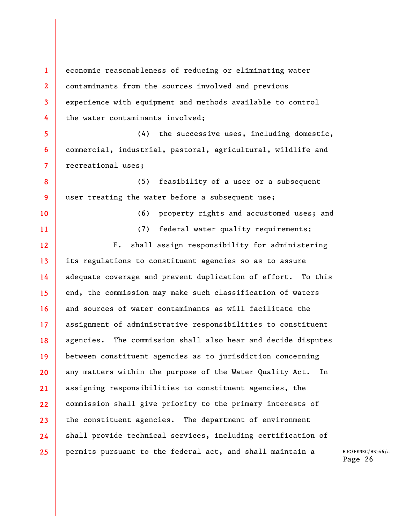**1 2 3 4 5 6 7 8 9 10 11 12 13 14 15 16 17 18 19 20 21 22 23 24 25**  economic reasonableness of reducing or eliminating water contaminants from the sources involved and previous experience with equipment and methods available to control the water contaminants involved; (4) the successive uses, including domestic, commercial, industrial, pastoral, agricultural, wildlife and recreational uses; (5) feasibility of a user or a subsequent user treating the water before a subsequent use; (6) property rights and accustomed uses; and (7) federal water quality requirements; F. shall assign responsibility for administering its regulations to constituent agencies so as to assure adequate coverage and prevent duplication of effort. To this end, the commission may make such classification of waters and sources of water contaminants as will facilitate the assignment of administrative responsibilities to constituent agencies. The commission shall also hear and decide disputes between constituent agencies as to jurisdiction concerning any matters within the purpose of the Water Quality Act. In assigning responsibilities to constituent agencies, the commission shall give priority to the primary interests of the constituent agencies. The department of environment shall provide technical services, including certification of permits pursuant to the federal act, and shall maintain a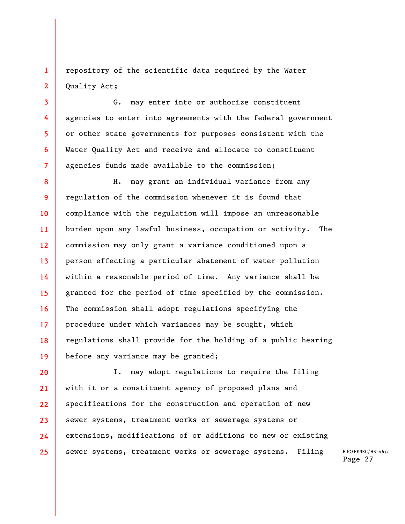**1 2**  repository of the scientific data required by the Water Quality Act;

**3** 

**4** 

**5** 

**6** 

**7** 

G. may enter into or authorize constituent agencies to enter into agreements with the federal government or other state governments for purposes consistent with the Water Quality Act and receive and allocate to constituent agencies funds made available to the commission;

**8 9 10 11 12 13 14 15 16 17 18 19**  H. may grant an individual variance from any regulation of the commission whenever it is found that compliance with the regulation will impose an unreasonable burden upon any lawful business, occupation or activity. The commission may only grant a variance conditioned upon a person effecting a particular abatement of water pollution within a reasonable period of time. Any variance shall be granted for the period of time specified by the commission. The commission shall adopt regulations specifying the procedure under which variances may be sought, which regulations shall provide for the holding of a public hearing before any variance may be granted;

**20 21 22 23 24 25**  I. may adopt regulations to require the filing with it or a constituent agency of proposed plans and specifications for the construction and operation of new sewer systems, treatment works or sewerage systems or extensions, modifications of or additions to new or existing sewer systems, treatment works or sewerage systems. Filing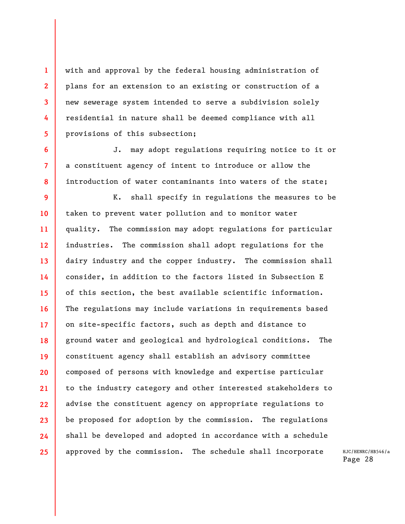with and approval by the federal housing administration of plans for an extension to an existing or construction of a new sewerage system intended to serve a subdivision solely residential in nature shall be deemed compliance with all provisions of this subsection;

**1** 

**2** 

**3** 

**4** 

**5** 

**6** 

**7** 

**8** 

J. may adopt regulations requiring notice to it or a constituent agency of intent to introduce or allow the introduction of water contaminants into waters of the state;

**9 10 11 12 13 14 15 16 17 18 19 20 21 22 23 24 25**  K. shall specify in regulations the measures to be taken to prevent water pollution and to monitor water quality. The commission may adopt regulations for particular industries. The commission shall adopt regulations for the dairy industry and the copper industry. The commission shall consider, in addition to the factors listed in Subsection E of this section, the best available scientific information. The regulations may include variations in requirements based on site-specific factors, such as depth and distance to ground water and geological and hydrological conditions. The constituent agency shall establish an advisory committee composed of persons with knowledge and expertise particular to the industry category and other interested stakeholders to advise the constituent agency on appropriate regulations to be proposed for adoption by the commission. The regulations shall be developed and adopted in accordance with a schedule approved by the commission. The schedule shall incorporate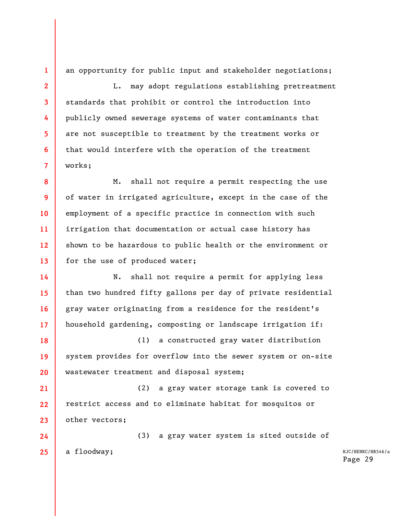an opportunity for public input and stakeholder negotiations;

**1** 

**2** 

**3** 

**4** 

**5** 

**6** 

**7** 

L. may adopt regulations establishing pretreatment standards that prohibit or control the introduction into publicly owned sewerage systems of water contaminants that are not susceptible to treatment by the treatment works or that would interfere with the operation of the treatment works;

**8 9 10 11 12 13**  M. shall not require a permit respecting the use of water in irrigated agriculture, except in the case of the employment of a specific practice in connection with such irrigation that documentation or actual case history has shown to be hazardous to public health or the environment or for the use of produced water;

**14 15 16 17**  N. shall not require a permit for applying less than two hundred fifty gallons per day of private residential gray water originating from a residence for the resident's household gardening, composting or landscape irrigation if:

**18 19 20**  (1) a constructed gray water distribution system provides for overflow into the sewer system or on-site wastewater treatment and disposal system;

**21 22 23**  (2) a gray water storage tank is covered to restrict access and to eliminate habitat for mosquitos or other vectors;

**24 25**  (3) a gray water system is sited outside of a floodway;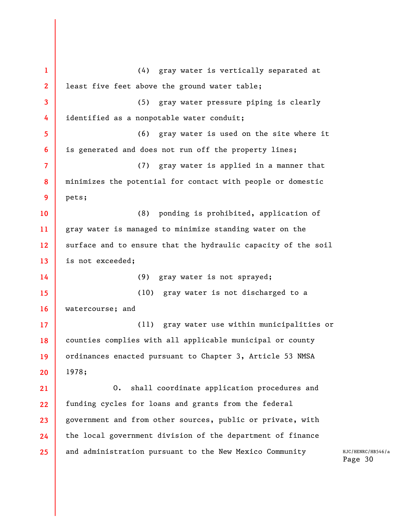**1 2 3 4 5 6 7 8 9 10 11 12 13 14 15 16 17 18 19 20 21 22 23 24 25**  (4) gray water is vertically separated at least five feet above the ground water table; (5) gray water pressure piping is clearly identified as a nonpotable water conduit; (6) gray water is used on the site where it is generated and does not run off the property lines; (7) gray water is applied in a manner that minimizes the potential for contact with people or domestic pets; (8) ponding is prohibited, application of gray water is managed to minimize standing water on the surface and to ensure that the hydraulic capacity of the soil is not exceeded; (9) gray water is not sprayed; (10) gray water is not discharged to a watercourse; and (11) gray water use within municipalities or counties complies with all applicable municipal or county ordinances enacted pursuant to Chapter 3, Article 53 NMSA 1978; O. shall coordinate application procedures and funding cycles for loans and grants from the federal government and from other sources, public or private, with the local government division of the department of finance and administration pursuant to the New Mexico Community